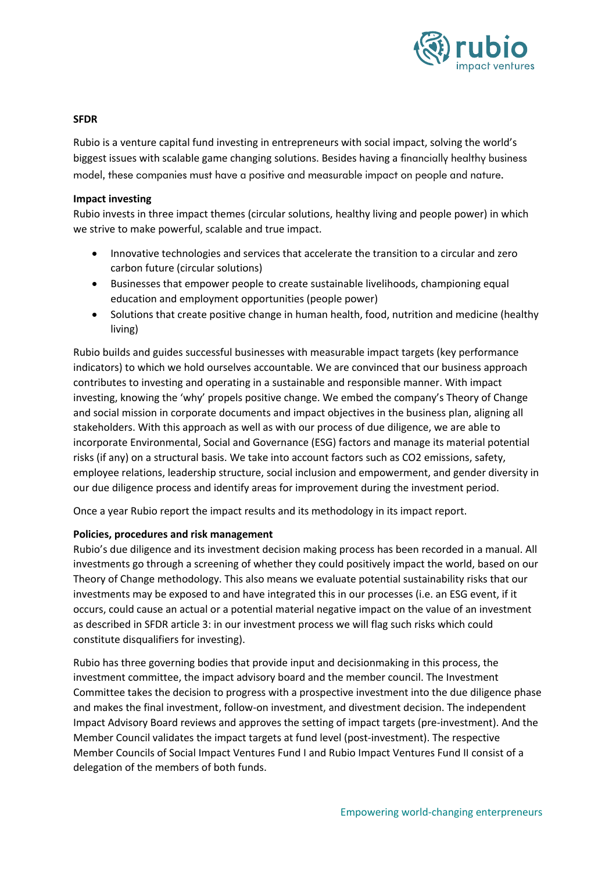

#### **SFDR**

Rubio is a venture capital fund investing in entrepreneurs with social impact, solving the world's biggest issues with scalable game changing solutions. Besides having a financially healthy business model, these companies must have a positive and measurable impact on people and nature.

### **Impact investing**

Rubio invests in three impact themes (circular solutions, healthy living and people power) in which we strive to make powerful, scalable and true impact.

- Innovative technologies and services that accelerate the transition to a circular and zero carbon future (circular solutions)
- Businesses that empower people to create sustainable livelihoods, championing equal education and employment opportunities (people power)
- Solutions that create positive change in human health, food, nutrition and medicine (healthy living)

Rubio builds and guides successful businesses with measurable impact targets (key performance indicators) to which we hold ourselves accountable. We are convinced that our business approach contributes to investing and operating in a sustainable and responsible manner. With impact investing, knowing the 'why' propels positive change. We embed the company's Theory of Change and social mission in corporate documents and impact objectives in the business plan, aligning all stakeholders. With this approach as well as with our process of due diligence, we are able to incorporate Environmental, Social and Governance (ESG) factors and manage its material potential risks (if any) on a structural basis. We take into account factors such as CO2 emissions, safety, employee relations, leadership structure, social inclusion and empowerment, and gender diversity in our due diligence process and identify areas for improvement during the investment period.

Once a year Rubio report the impact results and its methodology in its impact report.

#### **Policies, procedures and risk management**

Rubio's due diligence and its investment decision making process has been recorded in a manual. All investments go through a screening of whether they could positively impact the world, based on our Theory of Change methodology. This also means we evaluate potential sustainability risks that our investments may be exposed to and have integrated this in our processes (i.e. an ESG event, if it occurs, could cause an actual or a potential material negative impact on the value of an investment as described in SFDR article 3: in our investment process we will flag such risks which could constitute disqualifiers for investing).

Rubio has three governing bodies that provide input and decisionmaking in this process, the investment committee, the impact advisory board and the member council. The Investment Committee takes the decision to progress with a prospective investment into the due diligence phase and makes the final investment, follow-on investment, and divestment decision. The independent Impact Advisory Board reviews and approves the setting of impact targets (pre-investment). And the Member Council validates the impact targets at fund level (post-investment). The respective Member Councils of Social Impact Ventures Fund I and Rubio Impact Ventures Fund II consist of a delegation of the members of both funds.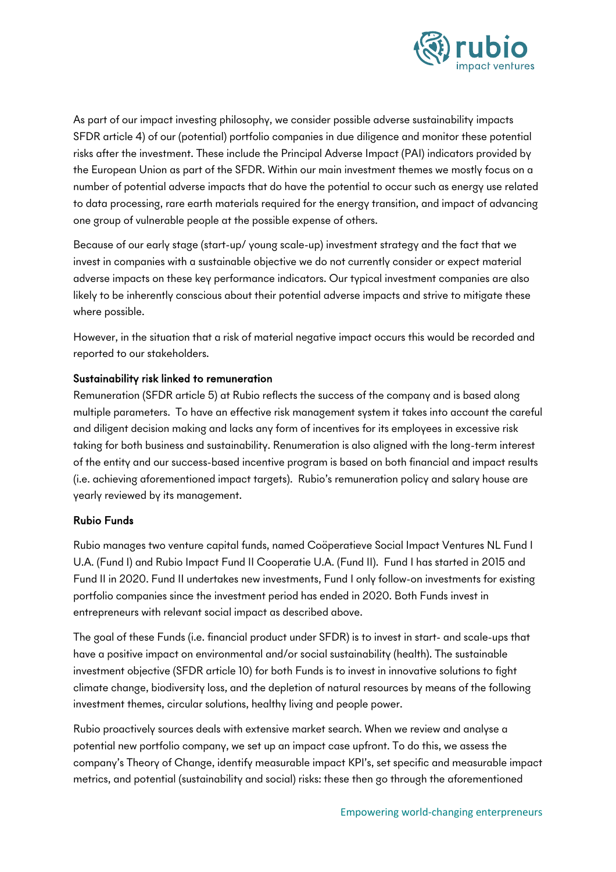

As part of our impact investing philosophy, we consider possible adverse sustainability impacts SFDR article 4) of our (potential) portfolio companies in due diligence and monitor these potential risks after the investment. These include the Principal Adverse Impact (PAI) indicators provided by the European Union as part of the SFDR. Within our main investment themes we mostly focus on a number of potential adverse impacts that do have the potential to occur such as energy use related to data processing, rare earth materials required for the energy transition, and impact of advancing one group of vulnerable people at the possible expense of others.

Because of our early stage (start-up/ young scale-up) investment strategy and the fact that we invest in companies with a sustainable objective we do not currently consider or expect material adverse impacts on these key performance indicators. Our typical investment companies are also likely to be inherently conscious about their potential adverse impacts and strive to mitigate these where possible.

However, in the situation that a risk of material negative impact occurs this would be recorded and reported to our stakeholders.

## Sustainability risk linked to remuneration

Remuneration (SFDR article 5) at Rubio reflects the success of the company and is based along multiple parameters. To have an effective risk management system it takes into account the careful and diligent decision making and lacks any form of incentives for its employees in excessive risk taking for both business and sustainability. Renumeration is also aligned with the long-term interest of the entity and our success-based incentive program is based on both financial and impact results (i.e. achieving aforementioned impact targets). Rubio's remuneration policy and salary house are yearly reviewed by its management.

## Rubio Funds

Rubio manages two venture capital funds, named Coöperatieve Social Impact Ventures NL Fund I U.A. (Fund I) and Rubio Impact Fund II Cooperatie U.A. (Fund II). Fund I has started in 2015 and Fund II in 2020. Fund II undertakes new investments, Fund I only follow-on investments for existing portfolio companies since the investment period has ended in 2020. Both Funds invest in entrepreneurs with relevant social impact as described above.

The goal of these Funds (i.e. financial product under SFDR) is to invest in start- and scale-ups that have a positive impact on environmental and/or social sustainability (health). The sustainable investment objective (SFDR article 10) for both Funds is to invest in innovative solutions to fight climate change, biodiversity loss, and the depletion of natural resources by means of the following investment themes, circular solutions, healthy living and people power.

Rubio proactively sources deals with extensive market search. When we review and analyse a potential new portfolio company, we set up an impact case upfront. To do this, we assess the company's Theory of Change, identify measurable impact KPI's, set specific and measurable impact metrics, and potential (sustainability and social) risks: these then go through the aforementioned